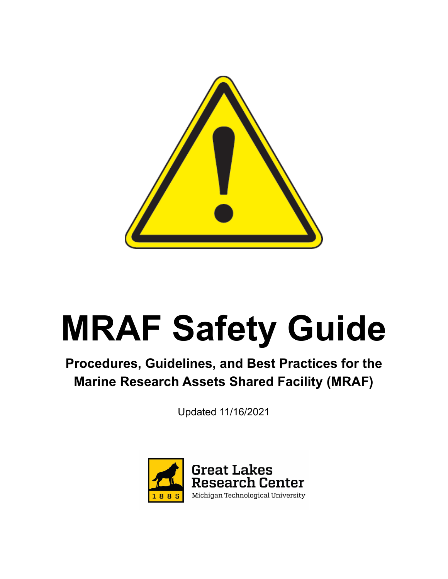

# **MRAF Safety Guide**

**Procedures, Guidelines, and Best Practices for the Marine Research Assets Shared Facility (MRAF)**

Updated 11/16/2021

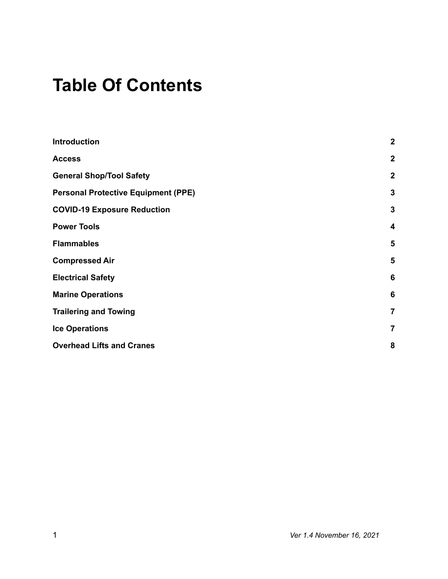# **Table Of Contents**

| <b>Introduction</b>                        | $\overline{2}$ |
|--------------------------------------------|----------------|
| <b>Access</b>                              | $\overline{2}$ |
| <b>General Shop/Tool Safety</b>            | $\overline{2}$ |
| <b>Personal Protective Equipment (PPE)</b> | 3              |
| <b>COVID-19 Exposure Reduction</b>         | 3              |
| <b>Power Tools</b>                         | 4              |
| <b>Flammables</b>                          | 5              |
| <b>Compressed Air</b>                      | 5              |
| <b>Electrical Safety</b>                   | 6              |
| <b>Marine Operations</b>                   | 6              |
| <b>Trailering and Towing</b>               | 7              |
| <b>Ice Operations</b>                      | 7              |
| <b>Overhead Lifts and Cranes</b>           | 8              |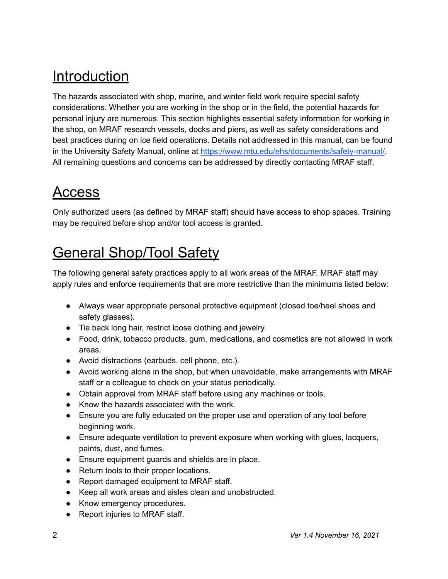## <span id="page-2-0"></span>**Introduction**

 The hazards associated with shop, marine, and winter field work require special safety considerations. Whether you are working in the shop or in the field, the potential hazards for personal injury are numerous. This section highlights essential safety information for working in the shop, on MRAF research vessels, docks and piers, as well as safety considerations and best practices during on ice field operations. Details not addressed in this manual, can be found in the University Safety Manual, online at [https://www.mtu.edu/ehs/documents/safety-manual/.](https://www.mtu.edu/ehs/documents/safety-manual/) All remaining questions and concerns can be addressed by directly contacting MRAF staff.

#### <span id="page-2-1"></span>Access

 Only authorized users (as defined by MRAF staff) should have access to shop spaces. Training may be required before shop and/or tool access is granted.

# <span id="page-2-2"></span>General Shop/Tool Safety

 The following general safety practices apply to all work areas of the MRAF. MRAF staff may apply rules and enforce requirements that are more restrictive than the minimums listed below:

- ● Always wear appropriate personal protective equipment (closed toe/heel shoes and safety glasses).
- Tie back long hair, restrict loose clothing and jewelry.
- ● Food, drink, tobacco products, gum, medications, and cosmetics are not allowed in work areas.
- Avoid distractions (earbuds, cell phone, etc.).
- ● Avoid working alone in the shop, but when unavoidable, make arrangements with MRAF staff or a colleague to check on your status periodically.
- Obtain approval from MRAF staff before using any machines or tools.
- Know the hazards associated with the work.
- ● Ensure you are fully educated on the proper use and operation of any tool before beginning work.
- ● Ensure adequate ventilation to prevent exposure when working with glues, lacquers, paints, dust, and fumes.
- Ensure equipment guards and shields are in place.
- Return tools to their proper locations.
- Report damaged equipment to MRAF staff.
- Keep all work areas and aisles clean and unobstructed.
- Know emergency procedures.
- Report injuries to MRAF staff.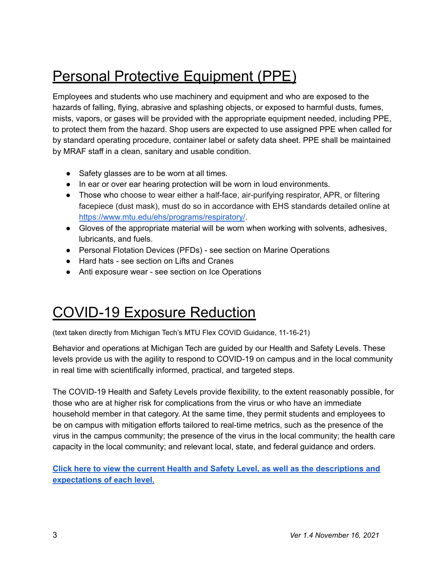# <span id="page-3-0"></span>Personal Protective Equipment (PPE)

Employees and students who use machinery and equipment and who are exposed to the hazards of falling, flying, abrasive and splashing objects, or exposed to harmful dusts, fumes, mists, vapors, or gases will be provided with the appropriate equipment needed, including PPE, to protect them from the hazard. Shop users are expected to use assigned PPE when called for by standard operating procedure, container label or safety data sheet. PPE shall be maintained by MRAF staff in a clean, sanitary and usable condition.

- Safety glasses are to be worn at all times.
- In ear or over ear hearing protection will be worn in loud environments.
- Those who choose to wear either a half-face, air-purifying respirator, APR, or filtering facepiece (dust mask), must do so in accordance with EHS standards detailed online at <https://www.mtu.edu/ehs/programs/respiratory/>.
- ● Gloves of the appropriate material will be worn when working with solvents, adhesives, lubricants, and fuels.
- Personal Flotation Devices (PFDs) see section on Marine Operations
- Hard hats see section on Lifts and Cranes
- Anti exposure wear see section on Ice Operations

#### COVID-19 Exposure Reduction

<span id="page-3-1"></span>(text taken directly from Michigan Tech's MTU Flex COVID Guidance, 11-16-21)

 Behavior and operations at Michigan Tech are guided by our Health and Safety Levels. These levels provide us with the agility to respond to COVID-19 on campus and in the local community in real time with scientifically informed, practical, and targeted steps.

 The COVID-19 Health and Safety Levels provide flexibility, to the extent reasonably possible, for those who are at higher risk for complications from the virus or who have an immediate household member in that category. At the same time, they permit students and employees to be on campus with mitigation efforts tailored to real-time metrics, such as the presence of the virus in the campus community; the presence of the virus in the local community; the health care capacity in the local community; and relevant local, state, and federal guidance and orders.

 **Click here to view the current Health and Safety Level, as well as the [descriptions](https://www.mtu.edu/flex/operations/levels/#two) and [expectations](https://www.mtu.edu/flex/operations/levels/#two) of each level.**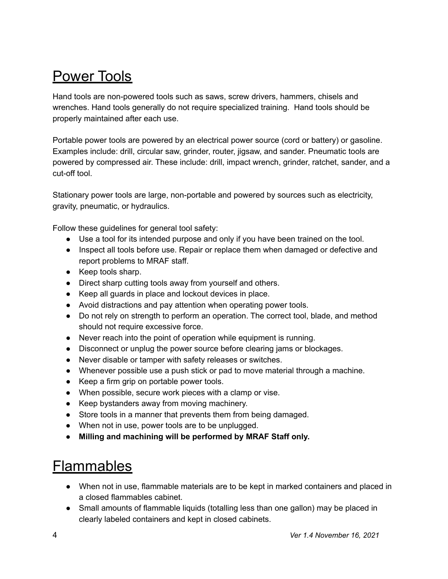## <span id="page-4-0"></span>Power Tools

 Hand tools are non-powered tools such as saws, screw drivers, hammers, chisels and wrenches. Hand tools generally do not require specialized training. Hand tools should be properly maintained after each use.

 Portable power tools are powered by an electrical power source (cord or battery) or gasoline. Examples include: drill, circular saw, grinder, router, jigsaw, and sander. Pneumatic tools are powered by compressed air. These include: drill, impact wrench, grinder, ratchet, sander, and a cut-off tool.

 Stationary power tools are large, non-portable and powered by sources such as electricity, gravity, pneumatic, or hydraulics.

Follow these guidelines for general tool safety:

- Use a tool for its intended purpose and only if you have been trained on the tool.
- ● Inspect all tools before use. Repair or replace them when damaged or defective and report problems to MRAF staff.
- Keep tools sharp.
- Direct sharp cutting tools away from yourself and others.
- Keep all guards in place and lockout devices in place.
- Avoid distractions and pay attention when operating power tools.
- ● Do not rely on strength to perform an operation. The correct tool, blade, and method should not require excessive force.
- Never reach into the point of operation while equipment is running.
- Disconnect or unplug the power source before clearing jams or blockages.
- Never disable or tamper with safety releases or switches.
- Whenever possible use a push stick or pad to move material through a machine.
- Keep a firm grip on portable power tools.
- When possible, secure work pieces with a clamp or vise.
- Keep bystanders away from moving machinery.
- Store tools in a manner that prevents them from being damaged.
- When not in use, power tools are to be unplugged.
- **● Milling and machining will be performed by MRAF Staff only.**

#### <span id="page-4-1"></span>**Flammables**

- When not in use, flammable materials are to be kept in marked containers and placed in a closed flammables cabinet.
- Small amounts of flammable liquids (totalling less than one gallon) may be placed in clearly labeled containers and kept in closed cabinets.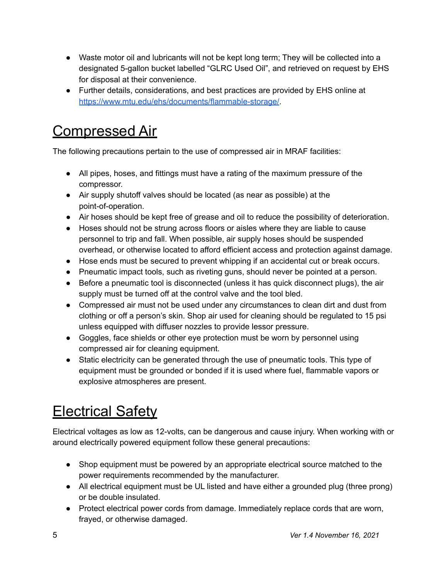- ● Waste motor oil and lubricants will not be kept long term; They will be collected into a designated 5-gallon bucket labelled "GLRC Used Oil", and retrieved on request by EHS for disposal at their convenience.
- ● Further details, considerations, and best practices are provided by EHS online at [https://www.mtu.edu/ehs/documents/flammable-storage/.](https://www.mtu.edu/ehs/documents/flammable-storage/)

#### <span id="page-5-0"></span>Compressed Air

The following precautions pertain to the use of compressed air in MRAF facilities:

- All pipes, hoses, and fittings must have a rating of the maximum pressure of the compressor.
- Air supply shutoff valves should be located (as near as possible) at the point-of-operation.
- Air hoses should be kept free of grease and oil to reduce the possibility of deterioration.
- Hoses should not be strung across floors or aisles where they are liable to cause personnel to trip and fall. When possible, air supply hoses should be suspended overhead, or otherwise located to afford efficient access and protection against damage.
- Hose ends must be secured to prevent whipping if an accidental cut or break occurs.
- Pneumatic impact tools, such as riveting guns, should never be pointed at a person.
- Before a pneumatic tool is disconnected (unless it has quick disconnect plugs), the air supply must be turned off at the control valve and the tool bled.
- Compressed air must not be used under any circumstances to clean dirt and dust from clothing or off a person's skin. Shop air used for cleaning should be regulated to 15 psi unless equipped with diffuser nozzles to provide lessor pressure.
- Goggles, face shields or other eye protection must be worn by personnel using compressed air for cleaning equipment.
- Static electricity can be generated through the use of pneumatic tools. This type of equipment must be grounded or bonded if it is used where fuel, flammable vapors or explosive atmospheres are present.

# <span id="page-5-1"></span>**Electrical Safety**

 Electrical voltages as low as 12-volts, can be dangerous and cause injury. When working with or around electrically powered equipment follow these general precautions:

- ● Shop equipment must be powered by an appropriate electrical source matched to the power requirements recommended by the manufacturer.
- ● All electrical equipment must be UL listed and have either a grounded plug (three prong) or be double insulated.
- ● Protect electrical power cords from damage. Immediately replace cords that are worn, frayed, or otherwise damaged.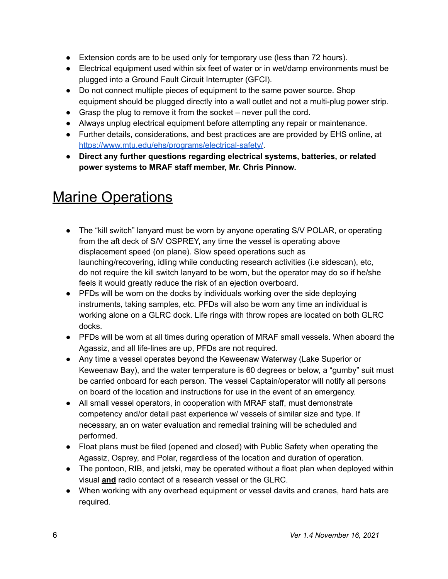- Extension cords are to be used only for temporary use (less than 72 hours).
- Electrical equipment used within six feet of water or in wet/damp environments must be plugged into a Ground Fault Circuit Interrupter (GFCI).
- Do not connect multiple pieces of equipment to the same power source. Shop equipment should be plugged directly into a wall outlet and not a multi-plug power strip.
- Grasp the plug to remove it from the socket never pull the cord.
- Always unplug electrical equipment before attempting any repair or maintenance.
- Further details, considerations, and best practices are are provided by EHS online, at [https://www.mtu.edu/ehs/programs/electrical-safety/.](https://www.mtu.edu/ehs/programs/electrical-safety/)
- **● Direct any further questions regarding electrical systems, batteries, or related power systems to MRAF staff member, Mr. Chris Pinnow.**

## <span id="page-6-0"></span>**Marine Operations**

- ● The "kill switch" lanyard must be worn by anyone operating S/V POLAR, or operating from the aft deck of S/V OSPREY, any time the vessel is operating above displacement speed (on plane). Slow speed operations such as launching/recovering, idling while conducting research activities (i.e sidescan), etc, do not require the kill switch lanyard to be worn, but the operator may do so if he/she feels it would greatly reduce the risk of an ejection overboard.
- ● PFDs will be worn on the docks by individuals working over the side deploying instruments, taking samples, etc. PFDs will also be worn any time an individual is working alone on a GLRC dock. Life rings with throw ropes are located on both GLRC docks.
- ● PFDs will be worn at all times during operation of MRAF small vessels. When aboard the Agassiz, and all life-lines are up, PFDs are not required.
- ● Any time a vessel operates beyond the Keweenaw Waterway (Lake Superior or Keweenaw Bay), and the water temperature is 60 degrees or below, a "gumby" suit must be carried onboard for each person. The vessel Captain/operator will notify all persons on board of the location and instructions for use in the event of an emergency.
- ● All small vessel operators, in cooperation with MRAF staff, must demonstrate competency and/or detail past experience w/ vessels of similar size and type. If necessary, an on water evaluation and remedial training will be scheduled and performed.
- ● Float plans must be filed (opened and closed) with Public Safety when operating the Agassiz, Osprey, and Polar, regardless of the location and duration of operation.
- The pontoon, RIB, and jetski, may be operated without a float plan when deployed within visual **and** radio contact of a research vessel or the GLRC.
- When working with any overhead equipment or vessel davits and cranes, hard hats are required.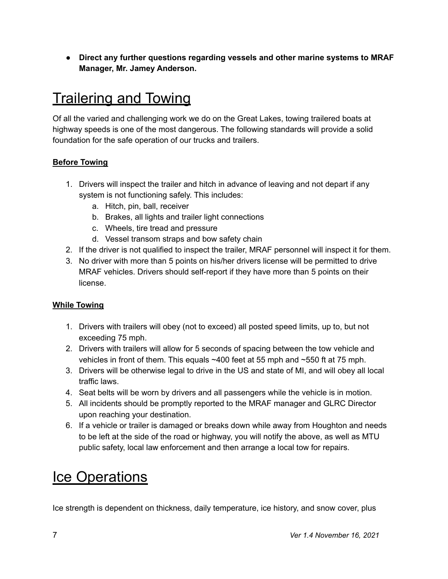**● Direct any further questions regarding vessels and other marine systems to MRAF Manager, Mr. Jamey Anderson.**

### <span id="page-7-0"></span>Trailering and Towing

 Of all the varied and challenging work we do on the Great Lakes, towing trailered boats at highway speeds is one of the most dangerous. The following standards will provide a solid foundation for the safe operation of our trucks and trailers.

#### **Before Towing**

- 1. Drivers will inspect the trailer and hitch in advance of leaving and not depart if any system is not functioning safely. This includes:
	- a. Hitch, pin, ball, receiver
	- b. Brakes, all lights and trailer light connections
	- c. Wheels, tire tread and pressure
	- d. Vessel transom straps and bow safety chain
- 2. If the driver is not qualified to inspect the trailer, MRAF personnel will inspect it for them.
- 3. No driver with more than 5 points on his/her drivers license will be permitted to drive MRAF vehicles. Drivers should self-report if they have more than 5 points on their license.

#### **While Towing**

- 1. Drivers with trailers will obey (not to exceed) all posted speed limits, up to, but not exceeding 75 mph.
- 2. Drivers with trailers will allow for 5 seconds of spacing between the tow vehicle and vehicles in front of them. This equals ~400 feet at 55 mph and ~550 ft at 75 mph.
- 3. Drivers will be otherwise legal to drive in the US and state of MI, and will obey all local traffic laws.
- 4. Seat belts will be worn by drivers and all passengers while the vehicle is in motion.
- 5. All incidents should be promptly reported to the MRAF manager and GLRC Director upon reaching your destination.
- 6. If a vehicle or trailer is damaged or breaks down while away from Houghton and needs to be left at the side of the road or highway, you will notify the above, as well as MTU public safety, local law enforcement and then arrange a local tow for repairs.

## <span id="page-7-1"></span>**Ice Operations**

Ice strength is dependent on thickness, daily temperature, ice history, and snow cover, plus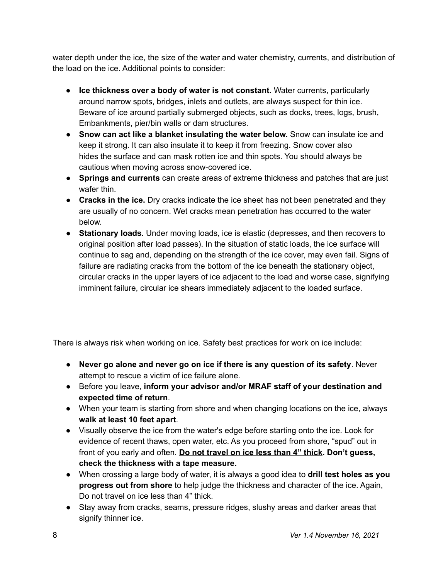water depth under the ice, the size of the water and water chemistry, currents, and distribution of the load on the ice. Additional points to consider:

- **Ice thickness over a body of water is not constant.** Water currents, particularly around narrow spots, bridges, inlets and outlets, are always suspect for thin ice. Beware of ice around partially submerged objects, such as docks, trees, logs, brush, Embankments, pier/bin walls or dam structures.
- **Snow can act like a blanket insulating the water below.** Snow can insulate ice and keep it strong. It can also insulate it to keep it from freezing. Snow cover also hides the surface and can mask rotten ice and thin spots. You should always be cautious when moving across snow-covered ice.
- **Springs and currents** can create areas of extreme thickness and patches that are just wafer thin.
- **Cracks in the ice.** Dry cracks indicate the ice sheet has not been penetrated and they are usually of no concern. Wet cracks mean penetration has occurred to the water below.
- **Stationary loads.** Under moving loads, ice is elastic (depresses, and then recovers to original position after load passes). In the situation of static loads, the ice surface will continue to sag and, depending on the strength of the ice cover, may even fail. Signs of failure are radiating cracks from the bottom of the ice beneath the stationary object, circular cracks in the upper layers of ice adjacent to the load and worse case, signifying imminent failure, circular ice shears immediately adjacent to the loaded surface.

There is always risk when working on ice. Safety best practices for work on ice include:

- **Never go alone and never go on ice if there is any question of its safety**. Never attempt to rescue a victim of ice failure alone.
- Before you leave, **inform your advisor and/or MRAF staff of your destination and expected time of return**.
- When your team is starting from shore and when changing locations on the ice, always **walk at least 10 feet apart**.
- Visually observe the ice from the water's edge before starting onto the ice. Look for evidence of recent thaws, open water, etc. As you proceed from shore, "spud" out in front of you early and often. **Do not travel on ice less than 4" thick. Don't guess, check the thickness with a tape measure.**
- When crossing a large body of water, it is always a good idea to **drill test holes as you progress out from shore** to help judge the thickness and character of the ice. Again, Do not travel on ice less than 4" thick.
- Stay away from cracks, seams, pressure ridges, slushy areas and darker areas that signify thinner ice.